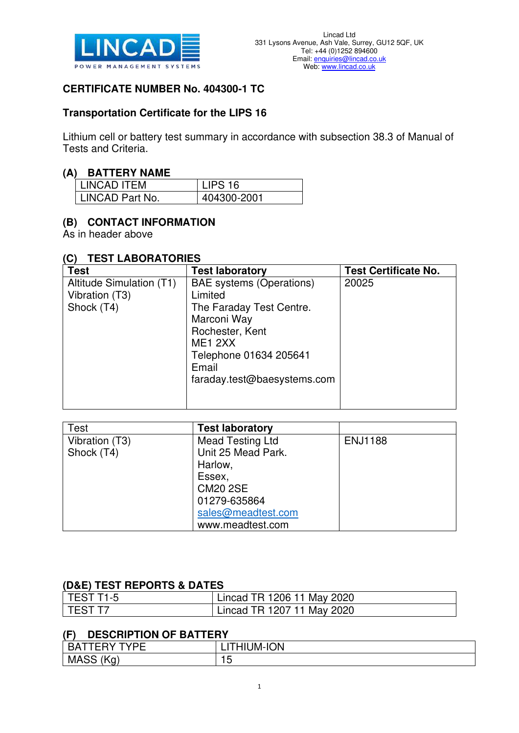

### **CERTIFICATE NUMBER No. 404300-1 TC**

#### **Transportation Certificate for the LIPS 16**

Lithium cell or battery test summary in accordance with subsection 38.3 of Manual of Tests and Criteria.

#### **(A) BATTERY NAME**

| I LINCAD ITEM     | LIPS 16     |
|-------------------|-------------|
| l LINCAD Part No. | 404300-2001 |

## **(B) CONTACT INFORMATION**

As in header above

#### **(C) TEST LABORATORIES**

| <b>Test</b>              | <b>Test laboratory</b>          | <b>Test Certificate No.</b> |
|--------------------------|---------------------------------|-----------------------------|
| Altitude Simulation (T1) | <b>BAE</b> systems (Operations) | 20025                       |
| Vibration (T3)           | Limited                         |                             |
| Shock (T4)               | The Faraday Test Centre.        |                             |
|                          | Marconi Way                     |                             |
|                          | Rochester, Kent                 |                             |
|                          | ME <sub>1</sub> 2XX             |                             |
|                          | Telephone 01634 205641          |                             |
|                          | Email                           |                             |
|                          | faraday.test@baesystems.com     |                             |
|                          |                                 |                             |
|                          |                                 |                             |

| <b>Test</b>    | <b>Test laboratory</b>  |                |
|----------------|-------------------------|----------------|
| Vibration (T3) | <b>Mead Testing Ltd</b> | <b>ENJ1188</b> |
| Shock (T4)     | Unit 25 Mead Park.      |                |
|                | Harlow,                 |                |
|                | Essex,                  |                |
|                | <b>CM20 2SE</b>         |                |
|                | 01279-635864            |                |
|                | sales@meadtest.com      |                |
|                | www.meadtest.com        |                |

## **(D&E) TEST REPORTS & DATES**

| l TEST T1-5 | Lincad TR 1206 11 May 2020 |
|-------------|----------------------------|
| I TEST T7   | Lincad TR 1207 11 May 2020 |

### **(F) DESCRIPTION OF BATTERY**

| ___                             |        |
|---------------------------------|--------|
| $\sqrt{2}$<br>--<br>. .         | ี 'W-⊾ |
| <b>MAS</b><br>ъ.<br>$\sim$<br>ີ | ∼      |